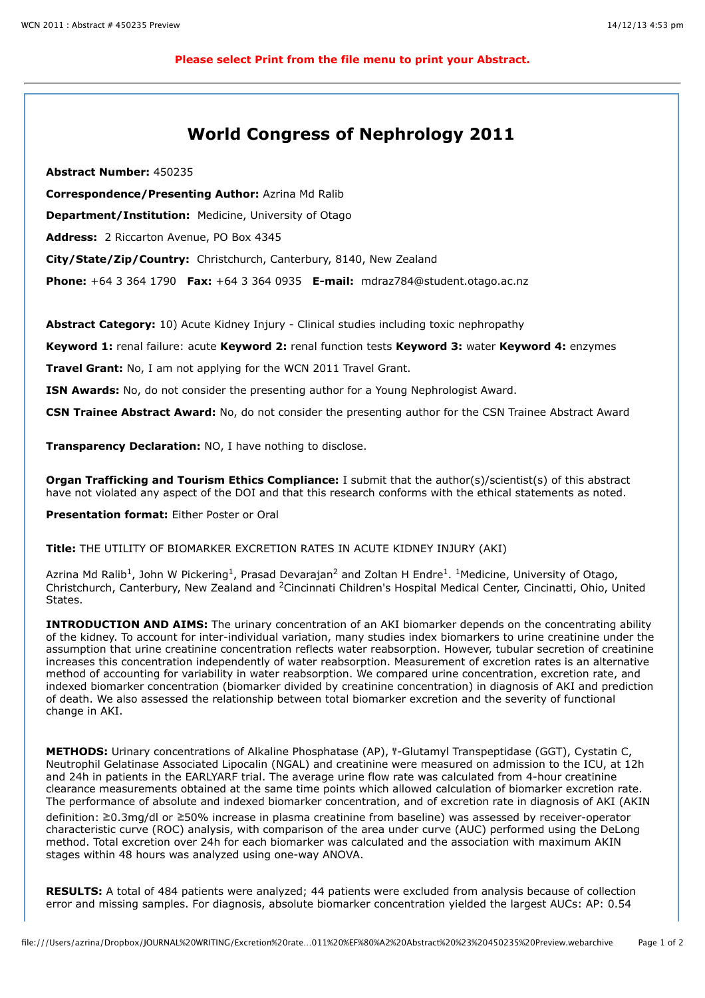## **World Congress of Nephrology 2011**

**Abstract Number:** 450235

**Correspondence/Presenting Author:** Azrina Md Ralib

**Department/Institution:** Medicine, University of Otago

**Address:** 2 Riccarton Avenue, PO Box 4345

**City/State/Zip/Country:** Christchurch, Canterbury, 8140, New Zealand

**Phone:** +64 3 364 1790 **Fax:** +64 3 364 0935 **E-mail:** mdraz784@student.otago.ac.nz

**Abstract Category:** 10) Acute Kidney Injury - Clinical studies including toxic nephropathy

**Keyword 1:** renal failure: acute **Keyword 2:** renal function tests **Keyword 3:** water **Keyword 4:** enzymes

**Travel Grant:** No, I am not applying for the WCN 2011 Travel Grant.

**ISN Awards:** No, do not consider the presenting author for a Young Nephrologist Award.

**CSN Trainee Abstract Award:** No, do not consider the presenting author for the CSN Trainee Abstract Award

**Transparency Declaration:** NO, I have nothing to disclose.

**Organ Trafficking and Tourism Ethics Compliance:** I submit that the author(s)/scientist(s) of this abstract have not violated any aspect of the DOI and that this research conforms with the ethical statements as noted.

**Presentation format:** Either Poster or Oral

**Title:** THE UTILITY OF BIOMARKER EXCRETION RATES IN ACUTE KIDNEY INJURY (AKI)

Azrina Md Ralib<sup>1</sup>, John W Pickering<sup>1</sup>, Prasad Devarajan<sup>2</sup> and Zoltan H Endre<sup>1</sup>. <sup>1</sup>Medicine, University of Otago, Christchurch, Canterbury, New Zealand and 2Cincinnati Children's Hospital Medical Center, Cincinatti, Ohio, United States.

**INTRODUCTION AND AIMS:** The urinary concentration of an AKI biomarker depends on the concentrating ability of the kidney. To account for inter-individual variation, many studies index biomarkers to urine creatinine under the assumption that urine creatinine concentration reflects water reabsorption. However, tubular secretion of creatinine increases this concentration independently of water reabsorption. Measurement of excretion rates is an alternative method of accounting for variability in water reabsorption. We compared urine concentration, excretion rate, and indexed biomarker concentration (biomarker divided by creatinine concentration) in diagnosis of AKI and prediction of death. We also assessed the relationship between total biomarker excretion and the severity of functional change in AKI.

**METHODS:** Urinary concentrations of Alkaline Phosphatase (AP), <sup>y</sup>-Glutamyl Transpeptidase (GGT), Cystatin C, Neutrophil Gelatinase Associated Lipocalin (NGAL) and creatinine were measured on admission to the ICU, at 12h and 24h in patients in the EARLYARF trial. The average urine flow rate was calculated from 4-hour creatinine clearance measurements obtained at the same time points which allowed calculation of biomarker excretion rate. The performance of absolute and indexed biomarker concentration, and of excretion rate in diagnosis of AKI (AKIN definition: ≥0.3mg/dl or ≥50% increase in plasma creatinine from baseline) was assessed by receiver-operator characteristic curve (ROC) analysis, with comparison of the area under curve (AUC) performed using the DeLong method. Total excretion over 24h for each biomarker was calculated and the association with maximum AKIN stages within 48 hours was analyzed using one-way ANOVA.

**RESULTS:** A total of 484 patients were analyzed; 44 patients were excluded from analysis because of collection error and missing samples. For diagnosis, absolute biomarker concentration yielded the largest AUCs: AP: 0.54